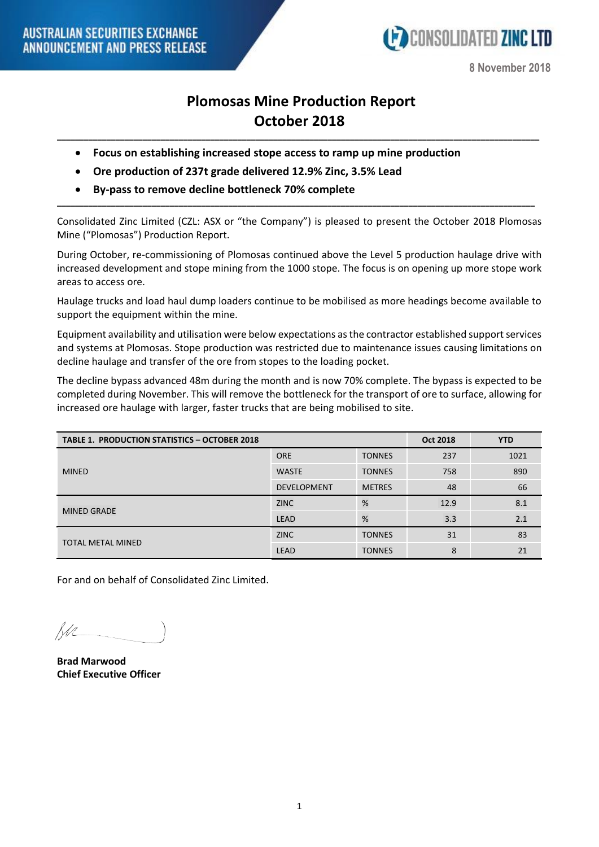

**8 November 2018**

## **Plomosas Mine Production Report October 2018**

**\_\_\_\_\_\_\_\_\_\_\_\_\_\_\_\_\_\_\_\_\_\_\_\_\_\_\_\_\_\_\_\_\_\_\_\_\_\_\_\_\_\_\_\_\_\_\_\_\_\_\_\_\_\_\_\_\_\_\_\_\_\_\_\_\_\_\_\_\_\_\_\_\_\_\_\_\_\_\_\_\_\_\_\_\_\_\_\_\_\_\_\_\_\_\_\_\_\_\_\_\_\_\_\_\_\_\_**

- **Focus on establishing increased stope access to ramp up mine production**
- **Ore production of 237t grade delivered 12.9% Zinc, 3.5% Lead**
- **By-pass to remove decline bottleneck 70% complete**

Consolidated Zinc Limited (CZL: ASX or "the Company") is pleased to present the October 2018 Plomosas Mine ("Plomosas") Production Report.

**\_\_\_\_\_\_\_\_\_\_\_\_\_\_\_\_\_\_\_\_\_\_\_\_\_\_\_\_\_\_\_\_\_\_\_\_\_\_\_\_\_\_\_\_\_\_\_\_\_\_\_\_\_\_\_\_\_\_\_\_\_\_\_\_\_\_\_\_\_\_\_\_\_\_\_\_\_\_\_\_\_\_\_\_\_\_\_\_\_\_\_\_\_\_\_\_\_\_\_\_\_\_\_\_\_\_**

During October, re-commissioning of Plomosas continued above the Level 5 production haulage drive with increased development and stope mining from the 1000 stope. The focus is on opening up more stope work areas to access ore.

Haulage trucks and load haul dump loaders continue to be mobilised as more headings become available to support the equipment within the mine.

Equipment availability and utilisation were below expectations as the contractor established support services and systems at Plomosas. Stope production was restricted due to maintenance issues causing limitations on decline haulage and transfer of the ore from stopes to the loading pocket.

The decline bypass advanced 48m during the month and is now 70% complete. The bypass is expected to be completed during November. This will remove the bottleneck for the transport of ore to surface, allowing for increased ore haulage with larger, faster trucks that are being mobilised to site.

| <b>TABLE 1. PRODUCTION STATISTICS - OCTOBER 2018</b> |                    |               | Oct 2018 | <b>YTD</b> |
|------------------------------------------------------|--------------------|---------------|----------|------------|
| <b>MINED</b>                                         | <b>ORE</b>         | <b>TONNES</b> | 237      | 1021       |
|                                                      | <b>WASTE</b>       | <b>TONNES</b> | 758      | 890        |
|                                                      | <b>DEVELOPMENT</b> | <b>METRES</b> | 48       | 66         |
| <b>MINED GRADE</b>                                   | <b>ZINC</b>        | %             | 12.9     | 8.1        |
|                                                      | LEAD               | %             | 3.3      | 2.1        |
| <b>TOTAL METAL MINED</b>                             | <b>ZINC</b>        | <b>TONNES</b> | 31       | 83         |
|                                                      | <b>LEAD</b>        | <b>TONNES</b> | 8        | 21         |

For and on behalf of Consolidated Zinc Limited.

Rdn

**Brad Marwood Chief Executive Officer**